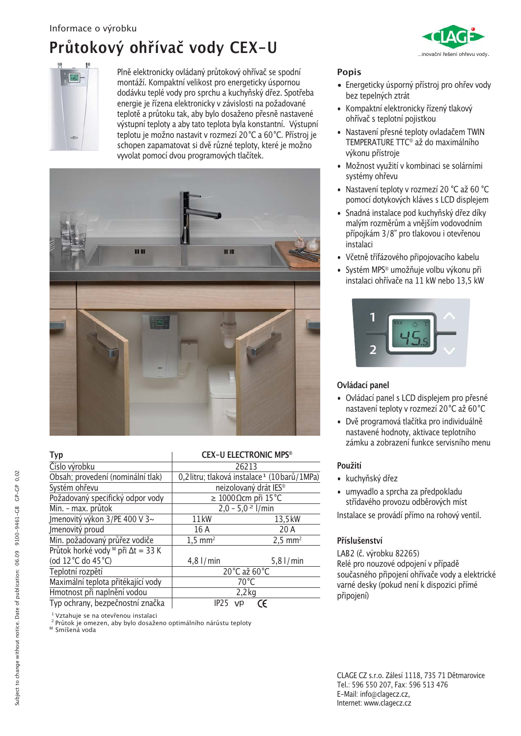## Průtokový ohřívač vody CEX-U



Plně elektronicky ovládaný průtokový ohřívač se spodní montáží. Kompaktní velikost pro energeticky úspornou dodávku teplé vody pro sprchu a kuchyňský dřez. Spotřeba energie je řízena elektronicky v závislosti na požadované teplotě a průtoku tak, aby bylo dosaženo přesně nastavené výstupní teploty a aby tato teplota byla konstantní. Výstupní teplotu je možno nastavit v rozmezí 20°C a 60°C. Přístroj je schopen zapamatovat si dvě různé teploty, které je možno vyvolat pomocí dvou programových tlačítek.



| <b>Typ</b>                                           | <b>CEX-U ELECTRONIC MPS®</b>                             |                       |
|------------------------------------------------------|----------------------------------------------------------|-----------------------|
| Číslo výrobku                                        | 26213                                                    |                       |
| Obsah; provedení (nominální tlak)                    | 0,2 litru; tlaková instalace <sup>1</sup> (10 barů/1MPa) |                       |
| Systém ohřevu                                        | neizolovaný drát IES®                                    |                       |
| Požadovaný specifický odpor vody                     | $\geq$ 1000 Ωcm při 15 °C                                |                       |
| Min. - max. průtok                                   | $2,0 - 5,02$ l/min                                       |                       |
| Jmenovitý výkon 3/PE 400 V 3~                        | 11kW                                                     | 13,5 kW               |
| Jmenovitý proud                                      | 16 A                                                     | 20 A                  |
| Min. požadovaný průřez vodiče                        | $1,5$ mm <sup>2</sup>                                    | $2,5$ mm <sup>2</sup> |
| Průtok horké vody <sup>M</sup> při $\Delta t = 33$ K |                                                          |                       |
| (od 12 °C do 45 °C)                                  | $4,8$ $\mid$ / min                                       | $5,8$ $\mid$ / min    |
| Teplotní rozpětí                                     | 20°C až 60°C                                             |                       |
| Maximální teplota přitékající vody                   | $70^{\circ}$ C                                           |                       |
| Hmotnost při naplnění vodou                          | $2,2$ kg                                                 |                       |
| Typ ochrany, bezpečnostní značka                     | IP <sub>25</sub><br><b>VD</b>                            | CE                    |

<sup>1</sup> Vztahuje se na otevřenou instalaci

<sup>2</sup> Průtok je omezen, aby bylo dosaženo optimálního nárůstu teploty

<sup>M</sup> Smíšená voda



### **Popis**

- · Energeticky úsporný přístroj pro ohřev vody bez tepelných ztrát
- · Kompaktní elektronicky řízený tlakový ohřívač s teplotní pojistkou
- · Nastavení přesné teploty ovladačem TWIN TEMPERATURE TTC<sup>®</sup> až do maximálního výkonu přístroje
- · Možnost využití v kombinaci se solárními systémy ohřevu
- · Nastavení teploty v rozmezí 20 °C až 60 °C pomocí dotykových kláves s LCD displejem
- · Snadná instalace pod kuchyňský dřez díky malým rozměrům a vnějším vodovodním přípojkám 3/8" pro tlakovou i otevřenou instalaci
- · Včetně třífázového připojovacího kabelu
- · Systém MPS® umožňuje volbu výkonu při instalaci ohřívače na 11 kW nebo 13,5 kW



### Ovládací panel

- · Ovládací panel s LCD displeiem pro přesné nastavení teploty v rozmezí 20°C až 60°C
- · Dvě programová tlačítka pro individuálně nastavené hodnoty, aktivace teplotního zámku a zobrazení funkce servisního menu

### Použití

- · kuchyňský dřez
- · umyvadlo a sprcha za předpokladu střídavého provozu odběrových míst

Instalace se provádí přímo na rohový ventil.

### Příslušenství

LAB2 (č. výrobku 82265) Relé pro nouzové odpojení v případě současného připojení ohřívače vody a elektrické varné desky (pokud není k dispozici přímé připojení)

CLAGE CZ s.r.o. Zálesí 1118, 735 71 Dětmarovice Tel.: 596 550 207, Fax: 596 513 476 E-Mail: info@clagecz.cz, Internet: www.clagecz.cz